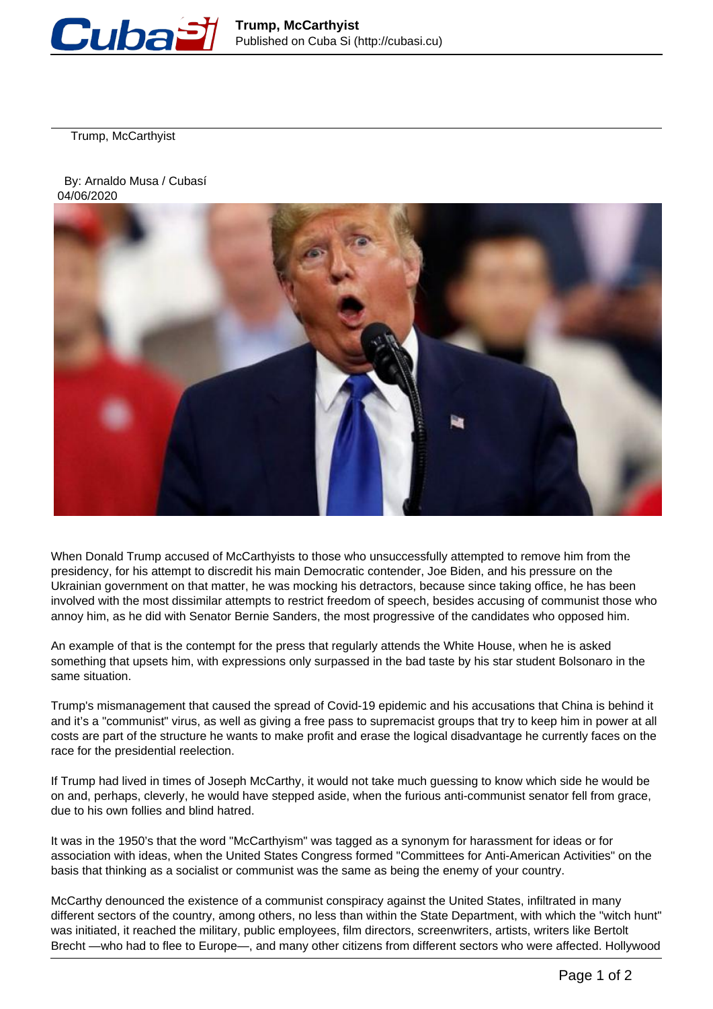

Trump, McCarthyist

 By: Arnaldo Musa / Cubasí 04/06/2020



When Donald Trump accused of McCarthyists to those who unsuccessfully attempted to remove him from the presidency, for his attempt to discredit his main Democratic contender, Joe Biden, and his pressure on the Ukrainian government on that matter, he was mocking his detractors, because since taking office, he has been involved with the most dissimilar attempts to restrict freedom of speech, besides accusing of communist those who annoy him, as he did with Senator Bernie Sanders, the most progressive of the candidates who opposed him.

An example of that is the contempt for the press that regularly attends the White House, when he is asked something that upsets him, with expressions only surpassed in the bad taste by his star student Bolsonaro in the same situation.

Trump's mismanagement that caused the spread of Covid-19 epidemic and his accusations that China is behind it and it's a "communist" virus, as well as giving a free pass to supremacist groups that try to keep him in power at all costs are part of the structure he wants to make profit and erase the logical disadvantage he currently faces on the race for the presidential reelection.

If Trump had lived in times of Joseph McCarthy, it would not take much guessing to know which side he would be on and, perhaps, cleverly, he would have stepped aside, when the furious anti-communist senator fell from grace, due to his own follies and blind hatred.

It was in the 1950's that the word "McCarthyism" was tagged as a synonym for harassment for ideas or for association with ideas, when the United States Congress formed "Committees for Anti-American Activities" on the basis that thinking as a socialist or communist was the same as being the enemy of your country.

McCarthy denounced the existence of a communist conspiracy against the United States, infiltrated in many different sectors of the country, among others, no less than within the State Department, with which the "witch hunt" was initiated, it reached the military, public employees, film directors, screenwriters, artists, writers like Bertolt Brecht —who had to flee to Europe—, and many other citizens from different sectors who were affected. Hollywood